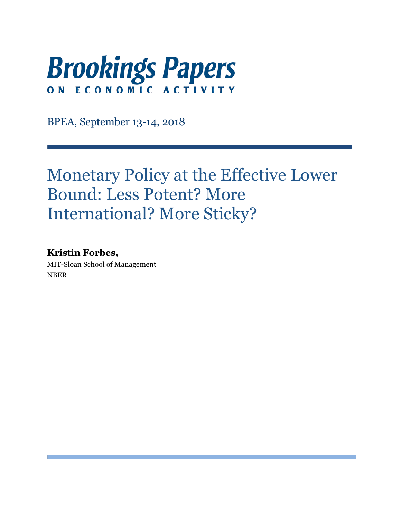

BPEA, September 13-14, 2018

# Monetary Policy at the Effective Lower Bound: Less Potent? More International? More Sticky?

## **Kristin Forbes,**

MIT-Sloan School of Management NBER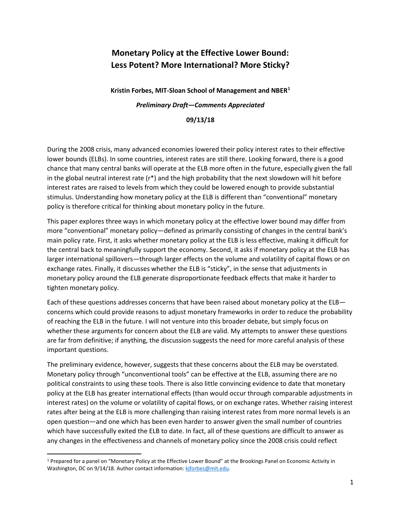# **Monetary Policy at the Effective Lower Bound: Less Potent? More International? More Sticky?**

**Kristin Forbes, MIT-Sloan School of Management and NBER[1](#page-1-0)** *Preliminary Draft—Comments Appreciated*

#### **09/13/18**

During the 2008 crisis, many advanced economies lowered their policy interest rates to their effective lower bounds (ELBs). In some countries, interest rates are still there. Looking forward, there is a good chance that many central banks will operate at the ELB more often in the future, especially given the fall in the global neutral interest rate  $(r^*)$  and the high probability that the next slowdown will hit before interest rates are raised to levels from which they could be lowered enough to provide substantial stimulus. Understanding how monetary policy at the ELB is different than "conventional" monetary policy is therefore critical for thinking about monetary policy in the future.

This paper explores three ways in which monetary policy at the effective lower bound may differ from more "conventional" monetary policy—defined as primarily consisting of changes in the central bank's main policy rate. First, it asks whether monetary policy at the ELB is less effective, making it difficult for the central back to meaningfully support the economy. Second, it asks if monetary policy at the ELB has larger international spillovers—through larger effects on the volume and volatility of capital flows or on exchange rates. Finally, it discusses whether the ELB is "sticky", in the sense that adjustments in monetary policy around the ELB generate disproportionate feedback effects that make it harder to tighten monetary policy.

Each of these questions addresses concerns that have been raised about monetary policy at the ELB concerns which could provide reasons to adjust monetary frameworks in order to reduce the probability of reaching the ELB in the future. I will not venture into this broader debate, but simply focus on whether these arguments for concern about the ELB are valid. My attempts to answer these questions are far from definitive; if anything, the discussion suggests the need for more careful analysis of these important questions.

The preliminary evidence, however, suggests that these concerns about the ELB may be overstated. Monetary policy through "unconventional tools" can be effective at the ELB, assuming there are no political constraints to using these tools. There is also little convincing evidence to date that monetary policy at the ELB has greater international effects (than would occur through comparable adjustments in interest rates) on the volume or volatility of capital flows, or on exchange rates. Whether raising interest rates after being at the ELB is more challenging than raising interest rates from more normal levels is an open question—and one which has been even harder to answer given the small number of countries which have successfully exited the ELB to date. In fact, all of these questions are difficult to answer as any changes in the effectiveness and channels of monetary policy since the 2008 crisis could reflect

<span id="page-1-0"></span> <sup>1</sup> Prepared for a panel on "Monetary Policy at the Effective Lower Bound" at the Brookings Panel on Economic Activity in Washington, DC on 9/14/18. Author contact information: kiforbes@mit.edu.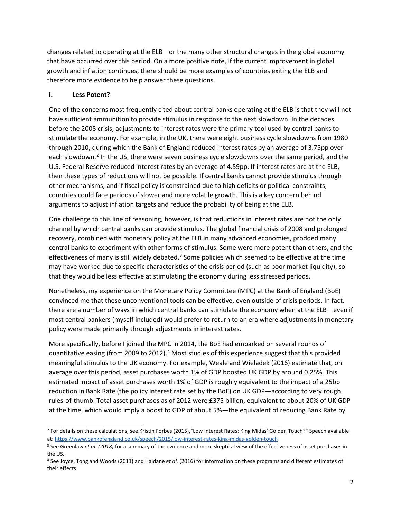changes related to operating at the ELB—or the many other structural changes in the global economy that have occurred over this period. On a more positive note, if the current improvement in global growth and inflation continues, there should be more examples of countries exiting the ELB and therefore more evidence to help answer these questions.

#### **I. Less Potent?**

One of the concerns most frequently cited about central banks operating at the ELB is that they will not have sufficient ammunition to provide stimulus in response to the next slowdown. In the decades before the 2008 crisis, adjustments to interest rates were the primary tool used by central banks to stimulate the economy. For example, in the UK, there were eight business cycle slowdowns from 1980 through 2010, during which the Bank of England reduced interest rates by an average of 3.75pp over each slowdown.<sup>[2](#page-2-0)</sup> In the US, there were seven business cycle slowdowns over the same period, and the U.S. Federal Reserve reduced interest rates by an average of 4.59pp. If interest rates are at the ELB, then these types of reductions will not be possible. If central banks cannot provide stimulus through other mechanisms, and if fiscal policy is constrained due to high deficits or political constraints, countries could face periods of slower and more volatile growth. This is a key concern behind arguments to adjust inflation targets and reduce the probability of being at the ELB.

One challenge to this line of reasoning, however, is that reductions in interest rates are not the only channel by which central banks can provide stimulus. The global financial crisis of 2008 and prolonged recovery, combined with monetary policy at the ELB in many advanced economies, prodded many central banks to experiment with other forms of stimulus. Some were more potent than others, and the effectiveness of many is still widely debated.<sup>3</sup> Some policies which seemed to be effective at the time may have worked due to specific characteristics of the crisis period (such as poor market liquidity), so that they would be less effective at stimulating the economy during less stressed periods.

Nonetheless, my experience on the Monetary Policy Committee (MPC) at the Bank of England (BoE) convinced me that these unconventional tools can be effective, even outside of crisis periods. In fact, there are a number of ways in which central banks can stimulate the economy when at the ELB—even if most central bankers (myself included) would prefer to return to an era where adjustments in monetary policy were made primarily through adjustments in interest rates.

More specifically, before I joined the MPC in 2014, the BoE had embarked on several rounds of quantitative easing (from 2009 to 2012).<sup>[4](#page-2-2)</sup> Most studies of this experience suggest that this provided meaningful stimulus to the UK economy. For example, Weale and Wieladek (2016) estimate that, on average over this period, asset purchases worth 1% of GDP boosted UK GDP by around 0.25%. This estimated impact of asset purchases worth 1% of GDP is roughly equivalent to the impact of a 25bp reduction in Bank Rate (the policy interest rate set by the BoE) on UK GDP—according to very rough rules-of-thumb. Total asset purchases as of 2012 were £375 billion, equivalent to about 20% of UK GDP at the time, which would imply a boost to GDP of about 5%—the equivalent of reducing Bank Rate by

<span id="page-2-0"></span> <sup>2</sup> For details on these calculations, see Kristin Forbes (2015),"Low Interest Rates: King Midas' Golden Touch?" Speech available at:<https://www.bankofengland.co.uk/speech/2015/low-interest-rates-king-midas-golden-touch>

<span id="page-2-1"></span><sup>3</sup> See Greenlaw *et al. (2018)* for a summary of the evidence and more skeptical view of the effectiveness of asset purchases in the US.

<span id="page-2-2"></span><sup>4</sup> See Joyce, Tong and Woods (2011) and Haldane *et al.* (2016) for information on these programs and different estimates of their effects.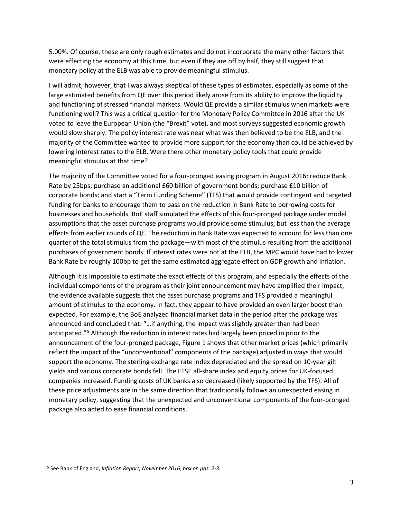5.00%. Of course, these are only rough estimates and do not incorporate the many other factors that were effecting the economy at this time, but even if they are off by half, they still suggest that monetary policy at the ELB was able to provide meaningful stimulus.

I will admit, however, that I was always skeptical of these types of estimates, especially as some of the large estimated benefits from QE over this period likely arose from its ability to improve the liquidity and functioning of stressed financial markets. Would QE provide a similar stimulus when markets were functioning well? This was a critical question for the Monetary Policy Committee in 2016 after the UK voted to leave the European Union (the "Brexit" vote), and most surveys suggested economic growth would slow sharply. The policy interest rate was near what was then believed to be the ELB, and the majority of the Committee wanted to provide more support for the economy than could be achieved by lowering interest rates to the ELB. Were there other monetary policy tools that could provide meaningful stimulus at that time?

The majority of the Committee voted for a four-pronged easing program in August 2016: reduce Bank Rate by 25bps; purchase an additional £60 billion of government bonds; purchase £10 billion of corporate bonds; and start a "Term Funding Scheme" (TFS) that would provide contingent and targeted funding for banks to encourage them to pass on the reduction in Bank Rate to borrowing costs for businesses and households. BoE staff simulated the effects of this four-pronged package under model assumptions that the asset purchase programs would provide some stimulus, but less than the average effects from earlier rounds of QE. The reduction in Bank Rate was expected to account for less than one quarter of the total stimulus from the package—with most of the stimulus resulting from the additional purchases of government bonds. If interest rates were not at the ELB, the MPC would have had to lower Bank Rate by roughly 100bp to get the same estimated aggregate effect on GDP growth and inflation.

Although it is impossible to estimate the exact effects of this program, and especially the effects of the individual components of the program as their joint announcement may have amplified their impact, the evidence available suggests that the asset purchase programs and TFS provided a meaningful amount of stimulus to the economy. In fact, they appear to have provided an even larger boost than expected. For example, the BoE analyzed financial market data in the period after the package was announced and concluded that: "…if anything, the impact was slightly greater than had been anticipated."[5](#page-3-0) Although the reduction in interest rates had largely been priced in prior to the announcement of the four-pronged package, Figure 1 shows that other market prices (which primarily reflect the impact of the "unconventional" components of the package) adjusted in ways that would support the economy. The sterling exchange rate index depreciated and the spread on 10-year gilt yields and various corporate bonds fell. The FTSE all-share index and equity prices for UK-focused companies increased. Funding costs of UK banks also decreased (likely supported by the TFS). All of these price adjustments are in the same direction that traditionally follows an unexpected easing in monetary policy, suggesting that the unexpected and unconventional components of the four-pronged package also acted to ease financial conditions.

<span id="page-3-0"></span> <sup>5</sup> See Bank of England, *Inflation Report, November 2016, box on pgs. 2-3.*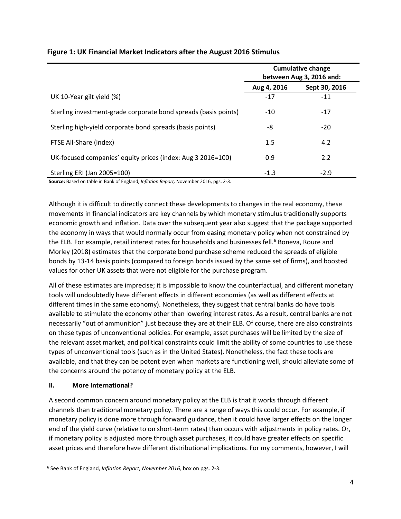|                                                                 | <b>Cumulative change</b><br>between Aug 3, 2016 and: |               |
|-----------------------------------------------------------------|------------------------------------------------------|---------------|
|                                                                 | Aug 4, 2016                                          | Sept 30, 2016 |
| UK 10-Year gilt yield (%)                                       | $-17$                                                | $-11$         |
| Sterling investment-grade corporate bond spreads (basis points) | $-10$                                                | $-17$         |
| Sterling high-yield corporate bond spreads (basis points)       | -8                                                   | $-20$         |
| FTSE All-Share (index)                                          | 1.5                                                  | 4.2           |
| UK-focused companies' equity prices (index: Aug 3 2016=100)     | 0.9                                                  | 2.2           |
| Sterling ERI (Jan 2005=100)                                     | $-1.3$                                               | $-2.9$        |

### **Figure 1: UK Financial Market Indicators after the August 2016 Stimulus**

**Source:** Based on table in Bank of England, *Inflation Report,* November 2016, pgs. 2-3.

Although it is difficult to directly connect these developments to changes in the real economy, these movements in financial indicators are key channels by which monetary stimulus traditionally supports economic growth and inflation. Data over the subsequent year also suggest that the package supported the economy in ways that would normally occur from easing monetary policy when not constrained by the ELB. For example, retail interest rates for households and businesses fell.<sup>[6](#page-4-0)</sup> Boneva, Roure and Morley (2018) estimates that the corporate bond purchase scheme reduced the spreads of eligible bonds by 13-14 basis points (compared to foreign bonds issued by the same set of firms), and boosted values for other UK assets that were not eligible for the purchase program.

All of these estimates are imprecise; it is impossible to know the counterfactual, and different monetary tools will undoubtedly have different effects in different economies (as well as different effects at different times in the same economy). Nonetheless, they suggest that central banks do have tools available to stimulate the economy other than lowering interest rates. As a result, central banks are not necessarily "out of ammunition" just because they are at their ELB. Of course, there are also constraints on these types of unconventional policies. For example, asset purchases will be limited by the size of the relevant asset market, and political constraints could limit the ability of some countries to use these types of unconventional tools (such as in the United States). Nonetheless, the fact these tools are available, and that they can be potent even when markets are functioning well, should alleviate some of the concerns around the potency of monetary policy at the ELB.

#### **II. More International?**

A second common concern around monetary policy at the ELB is that it works through different channels than traditional monetary policy. There are a range of ways this could occur. For example, if monetary policy is done more through forward guidance, then it could have larger effects on the longer end of the yield curve (relative to on short-term rates) than occurs with adjustments in policy rates. Or, if monetary policy is adjusted more through asset purchases, it could have greater effects on specific asset prices and therefore have different distributional implications. For my comments, however, I will

<span id="page-4-0"></span> <sup>6</sup> See Bank of England, *Inflation Report, November 2016,* box on pgs. 2-3.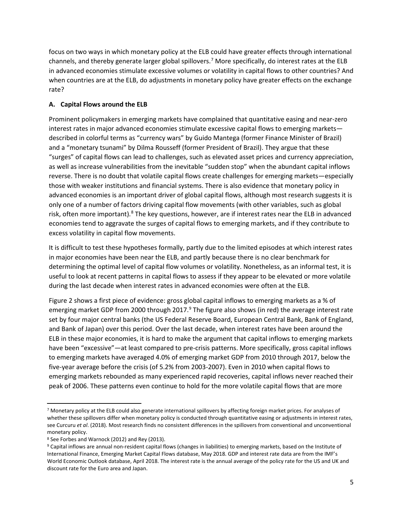focus on two ways in which monetary policy at the ELB could have greater effects through international channels, and thereby generate larger global spillovers.<sup>[7](#page-5-0)</sup> More specifically, do interest rates at the ELB in advanced economies stimulate excessive volumes or volatility in capital flows to other countries? And when countries are at the ELB, do adjustments in monetary policy have greater effects on the exchange rate?

#### **A. Capital Flows around the ELB**

Prominent policymakers in emerging markets have complained that quantitative easing and near-zero interest rates in major advanced economies stimulate excessive capital flows to emerging markets described in colorful terms as "currency wars" by Guido Mantega (former Finance Minister of Brazil) and a "monetary tsunami" by Dilma Rousseff (former President of Brazil). They argue that these "surges" of capital flows can lead to challenges, such as elevated asset prices and currency appreciation, as well as increase vulnerabilities from the inevitable "sudden stop" when the abundant capital inflows reverse. There is no doubt that volatile capital flows create challenges for emerging markets—especially those with weaker institutions and financial systems. There is also evidence that monetary policy in advanced economies is an important driver of global capital flows, although most research suggests it is only one of a number of factors driving capital flow movements (with other variables, such as global risk, often more important).<sup>[8](#page-5-1)</sup> The key questions, however, are if interest rates near the ELB in advanced economies tend to aggravate the surges of capital flows to emerging markets, and if they contribute to excess volatility in capital flow movements.

It is difficult to test these hypotheses formally, partly due to the limited episodes at which interest rates in major economies have been near the ELB, and partly because there is no clear benchmark for determining the optimal level of capital flow volumes or volatility. Nonetheless, as an informal test, it is useful to look at recent patterns in capital flows to assess if they appear to be elevated or more volatile during the last decade when interest rates in advanced economies were often at the ELB.

Figure 2 shows a first piece of evidence: gross global capital inflows to emerging markets as a % of emerging market GDP from 2000 through 2017.<sup>[9](#page-5-2)</sup> The figure also shows (in red) the average interest rate set by four major central banks (the US Federal Reserve Board, European Central Bank, Bank of England, and Bank of Japan) over this period. Over the last decade, when interest rates have been around the ELB in these major economies, it is hard to make the argument that capital inflows to emerging markets have been "excessive"—at least compared to pre-crisis patterns. More specifically, gross capital inflows to emerging markets have averaged 4.0% of emerging market GDP from 2010 through 2017, below the five-year average before the crisis (of 5.2% from 2003-2007). Even in 2010 when capital flows to emerging markets rebounded as many experienced rapid recoveries, capital inflows never reached their peak of 2006. These patterns even continue to hold for the more volatile capital flows that are more

<span id="page-5-0"></span> <sup>7</sup> Monetary policy at the ELB could also generate international spillovers by affecting foreign market prices. For analyses of whether these spillovers differ when monetary policy is conducted through quantitative easing or adjustments in interest rates, see Curcuru *et al*. (2018). Most research finds no consistent differences in the spillovers from conventional and unconventional monetary policy.

<span id="page-5-1"></span><sup>8</sup> See Forbes and Warnock (2012) and Rey (2013).

<span id="page-5-2"></span><sup>9</sup> Capital inflows are annual non-resident capital flows (changes in liabilities) to emerging markets, based on the Institute of International Finance, Emerging Market Capital Flows database, May 2018. GDP and interest rate data are from the IMF's World Economic Outlook database, April 2018. The interest rate is the annual average of the policy rate for the US and UK and discount rate for the Euro area and Japan.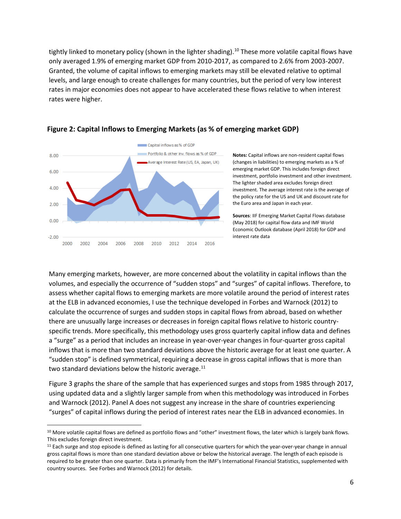tightly linked to monetary policy (shown in the lighter shading).<sup>[10](#page-6-0)</sup> These more volatile capital flows have only averaged 1.9% of emerging market GDP from 2010-2017, as compared to 2.6% from 2003-2007. Granted, the volume of capital inflows to emerging markets may still be elevated relative to optimal levels, and large enough to create challenges for many countries, but the period of very low interest rates in major economies does not appear to have accelerated these flows relative to when interest rates were higher.



#### **Figure 2: Capital Inflows to Emerging Markets (as % of emerging market GDP)**

**Notes:** Capital inflows are non-resident capital flows (changes in liabilities) to emerging markets as a % of emerging market GDP. This includes foreign direct investment, portfolio investment and other investment. The lighter shaded area excludes foreign direct investment. The average interest rate is the average of the policy rate for the US and UK and discount rate for the Euro area and Japan in each year.

**Sources**: IIF Emerging Market Capital Flows database (May 2018) for capital flow data and IMF World Economic Outlook database (April 2018) for GDP and interest rate data

Many emerging markets, however, are more concerned about the volatility in capital inflows than the volumes, and especially the occurrence of "sudden stops" and "surges" of capital inflows. Therefore, to assess whether capital flows to emerging markets are more volatile around the period of interest rates at the ELB in advanced economies, I use the technique developed in Forbes and Warnock (2012) to calculate the occurrence of surges and sudden stops in capital flows from abroad, based on whether there are unusually large increases or decreases in foreign capital flows relative to historic countryspecific trends. More specifically, this methodology uses gross quarterly capital inflow data and defines a "surge" as a period that includes an increase in year-over-year changes in four-quarter gross capital inflows that is more than two standard deviations above the historic average for at least one quarter. A "sudden stop" is defined symmetrical, requiring a decrease in gross capital inflows that is more than two standard deviations below the historic average.<sup>[11](#page-6-1)</sup>

Figure 3 graphs the share of the sample that has experienced surges and stops from 1985 through 2017, using updated data and a slightly larger sample from when this methodology was introduced in Forbes and Warnock (2012). Panel A does not suggest any increase in the share of countries experiencing "surges" of capital inflows during the period of interest rates near the ELB in advanced economies. In

<span id="page-6-0"></span> $10$  More volatile capital flows are defined as portfolio flows and "other" investment flows, the later which is largely bank flows. This excludes foreign direct investment.

<span id="page-6-1"></span><sup>&</sup>lt;sup>11</sup> Each surge and stop episode is defined as lasting for all consecutive quarters for which the year-over-year change in annual gross capital flows is more than one standard deviation above or below the historical average. The length of each episode is required to be greater than one quarter. Data is primarily from the IMF's International Financial Statistics, supplemented with country sources. See Forbes and Warnock (2012) for details.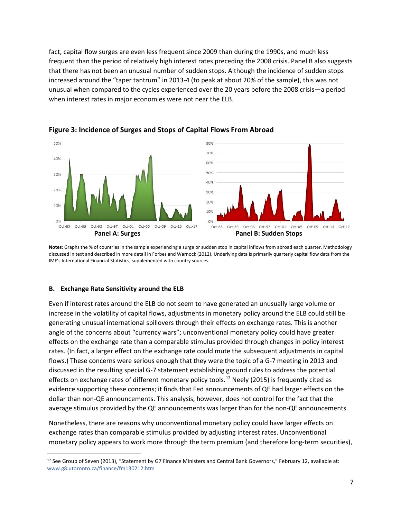fact, capital flow surges are even less frequent since 2009 than during the 1990s, and much less frequent than the period of relatively high interest rates preceding the 2008 crisis. Panel B also suggests that there has not been an unusual number of sudden stops. Although the incidence of sudden stops increased around the "taper tantrum" in 2013-4 (to peak at about 20% of the sample), this was not unusual when compared to the cycles experienced over the 20 years before the 2008 crisis—a period when interest rates in major economies were not near the ELB.



**Figure 3: Incidence of Surges and Stops of Capital Flows From Abroad**

**Notes**: Graphs the % of countries in the sample experiencing a surge or sudden stop in capital inflows from abroad each quarter. Methodology discussed in text and described in more detail in Forbes and Warnock (2012). Underlying data is primarily quarterly capital flow data from the IMF's International Financial Statistics, supplemented with country sources.

#### **B. Exchange Rate Sensitivity around the ELB**

Even if interest rates around the ELB do not seem to have generated an unusually large volume or increase in the volatility of capital flows, adjustments in monetary policy around the ELB could still be generating unusual international spillovers through their effects on exchange rates. This is another angle of the concerns about "currency wars"; unconventional monetary policy could have greater effects on the exchange rate than a comparable stimulus provided through changes in policy interest rates. (In fact, a larger effect on the exchange rate could mute the subsequent adjustments in capital flows.) These concerns were serious enough that they were the topic of a G-7 meeting in 2013 and discussed in the resulting special G-7 statement establishing ground rules to address the potential effects on exchange rates of different monetary policy tools.<sup>[12](#page-7-0)</sup> Neely (2015) is frequently cited as evidence supporting these concerns; it finds that Fed announcements of QE had larger effects on the dollar than non-QE announcements. This analysis, however, does not control for the fact that the average stimulus provided by the QE announcements was larger than for the non-QE announcements.

Nonetheless, there are reasons why unconventional monetary policy could have larger effects on exchange rates than comparable stimulus provided by adjusting interest rates. Unconventional monetary policy appears to work more through the term premium (and therefore long-term securities),

<span id="page-7-0"></span><sup>&</sup>lt;sup>12</sup> See Group of Seven (2013), "Statement by G7 Finance Ministers and Central Bank Governors," February 12, available at: www.g8.utoronto.ca/finance/fm130212.htm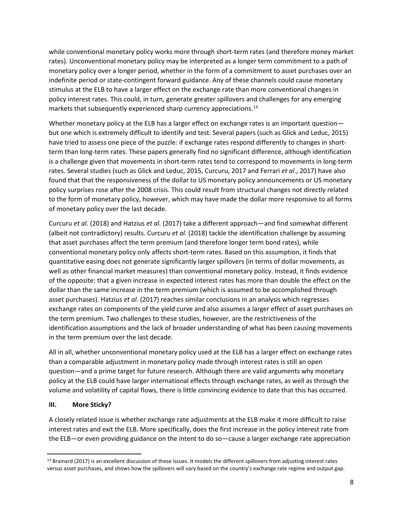while conventional monetary policy works more through short-term rates (and therefore money market rates). Unconventional monetary policy may be interpreted as a longer term commitment to a path of monetary policy over a longer period, whether in the form of a commitment to asset purchases over an indefinite period or state-contingent forward guidance. Any of these channels could cause monetary stimulus at the ELB to have a larger effect on the exchange rate than more conventional changes in policy interest rates. This could, in turn, generate greater spillovers and challenges for any emerging markets that subsequently experienced sharp currency appreciations.<sup>[13](#page-8-0)</sup>

Whether monetary policy at the ELB has a larger effect on exchange rates is an important question but one which is extremely difficult to identify and test. Several papers (such as Glick and Leduc, 2015) have tried to assess one piece of the puzzle: if exchange rates respond differently to changes in shortterm than long-term rates. These papers generally find no significant difference, although identification is a challenge given that movements in short-term rates tend to correspond to movements in long-term rates. Several studies (such as Glick and Leduc, 2015, Curcuru, 2017 and Ferrari *et al.*, 2017) have also found that that the responsiveness of the dollar to US monetary policy announcements or US monetary policy surprises rose after the 2008 crisis. This could result from structural changes not directly related to the form of monetary policy, however, which may have made the dollar more responsive to all forms of monetary policy over the last decade.

Curcuru *et al.* (2018) and Hatzius *et al.* (2017) take a different approach—and find somewhat different (albeit not contradictory) results. Curcuru *et al.* (2018) tackle the identification challenge by assuming that asset purchases affect the term premium (and therefore longer term bond rates), while conventional monetary policy only affects short-term rates. Based on this assumption, it finds that quantitative easing does not generate significantly larger spillovers (in terms of dollar movements, as well as other financial market measures) than conventional monetary policy. Instead, it finds evidence of the opposite: that a given increase in expected interest rates has more than double the effect on the dollar than the same increase in the term premium (which is assumed to be accomplished through asset purchases). Hatzius *et al.* (2017) reaches similar conclusions in an analysis which regresses exchange rates on components of the yield curve and also assumes a larger effect of asset purchases on the term premium. Two challenges to these studies, however, are the restrictiveness of the identification assumptions and the lack of broader understanding of what has been causing movements in the term premium over the last decade.

All in all, whether unconventional monetary policy used at the ELB has a larger effect on exchange rates than a comparable adjustment in monetary policy made through interest rates is still an open question—and a prime target for future research. Although there are valid arguments why monetary policy at the ELB could have larger international effects through exchange rates, as well as through the volume and volatility of capital flows, there is little convincing evidence to date that this has occurred.

#### **III. More Sticky?**

A closely related issue is whether exchange rate adjustments at the ELB make it more difficult to raise interest rates and exit the ELB. More specifically, does the first increase in the policy interest rate from the ELB—or even providing guidance on the intent to do so—cause a larger exchange rate appreciation

<span id="page-8-0"></span><sup>13</sup> Brainard (2017) is an excellent discussion of these issues. It models the different spillovers from adjusting interest rates versus asset purchases, and shows how the spillovers will vary based on the country's exchange rate regime and output gap.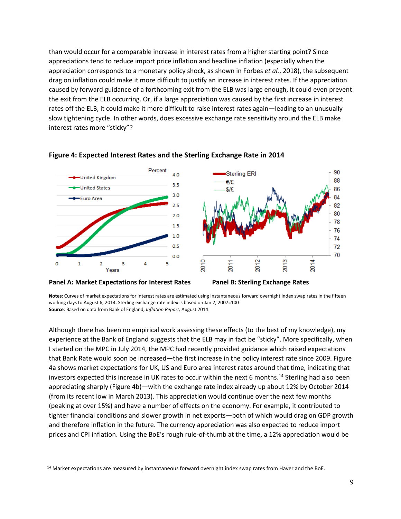than would occur for a comparable increase in interest rates from a higher starting point? Since appreciations tend to reduce import price inflation and headline inflation (especially when the appreciation corresponds to a monetary policy shock, as shown in Forbes *et al.*, 2018), the subsequent drag on inflation could make it more difficult to justify an increase in interest rates. If the appreciation caused by forward guidance of a forthcoming exit from the ELB was large enough, it could even prevent the exit from the ELB occurring. Or, if a large appreciation was caused by the first increase in interest rates off the ELB, it could make it more difficult to raise interest rates again—leading to an unusually slow tightening cycle. In other words, does excessive exchange rate sensitivity around the ELB make interest rates more "sticky"?



#### **Figure 4: Expected Interest Rates and the Sterling Exchange Rate in 2014**



**Notes**: Curves of market expectations for interest rates are estimated using instantaneous forward overnight index swap rates in the fifteen working days to August 6, 2014. Sterling exchange rate index is based on Jan 2, 2007=100 **Source**: Based on data from Bank of England, *Inflation Report,* August 2014.

Although there has been no empirical work assessing these effects (to the best of my knowledge), my experience at the Bank of England suggests that the ELB may in fact be "sticky". More specifically, when I started on the MPC in July 2014, the MPC had recently provided guidance which raised expectations that Bank Rate would soon be increased—the first increase in the policy interest rate since 2009. Figure 4a shows market expectations for UK, US and Euro area interest rates around that time, indicating that investors expected this increase in UK rates to occur within the next 6 months.<sup>[14](#page-9-0)</sup> Sterling had also been appreciating sharply (Figure 4b)—with the exchange rate index already up about 12% by October 2014 (from its recent low in March 2013). This appreciation would continue over the next few months (peaking at over 15%) and have a number of effects on the economy. For example, it contributed to tighter financial conditions and slower growth in net exports—both of which would drag on GDP growth and therefore inflation in the future. The currency appreciation was also expected to reduce import prices and CPI inflation. Using the BoE's rough rule-of-thumb at the time, a 12% appreciation would be

<span id="page-9-0"></span><sup>&</sup>lt;sup>14</sup> Market expectations are measured by instantaneous forward overnight index swap rates from Haver and the BoE.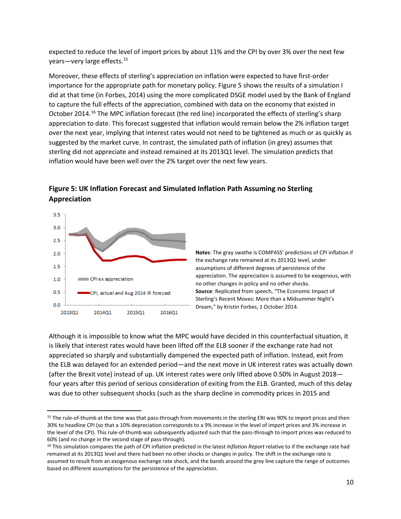expected to reduce the level of import prices by about 11% and the CPI by over 3% over the next few years—very large effects. [15](#page-10-0)

Moreover, these effects of sterling's appreciation on inflation were expected to have first-order importance for the appropriate path for monetary policy. Figure 5 shows the results of a simulation I did at that time (in Forbes, 2014) using the more complicated DSGE model used by the Bank of England to capture the full effects of the appreciation, combined with data on the economy that existed in October 2014.<sup>[16](#page-10-1)</sup> The MPC inflation forecast (the red line) incorporated the effects of sterling's sharp appreciation to date. This forecast suggested that inflation would remain below the 2% inflation target over the next year, implying that interest rates would not need to be tightened as much or as quickly as suggested by the market curve. In contrast, the simulated path of inflation (in grey) assumes that sterling did not appreciate and instead remained at its 2013Q1 level. The simulation predicts that inflation would have been well over the 2% target over the next few years.



**Figure 5: UK Inflation Forecast and Simulated Inflation Path Assuming no Sterling Appreciation**

**Notes**: The gray swathe is COMPASS' predictions of CPI inflation if the exchange rate remained at its 2013Q1 level, under assumptions of different degrees of persistence of the appreciation. The appreciation is assumed to be exogenous, with no other changes in policy and no other shocks. **Source**: Replicated from speech, "The Economic Impact of Sterling's Recent Moves: More than a Midsummer Night's Dream," by Kristin Forbes, 1 October 2014.

Although it is impossible to know what the MPC would have decided in this counterfactual situation, it is likely that interest rates would have been lifted off the ELB sooner if the exchange rate had not appreciated so sharply and substantially dampened the expected path of inflation. Instead, exit from the ELB was delayed for an extended period—and the next move in UK interest rates was actually down (after the Brexit vote) instead of up. UK interest rates were only lifted above 0.50% in August 2018 four years after this period of serious consideration of exiting from the ELB. Granted, much of this delay was due to other subsequent shocks (such as the sharp decline in commodity prices in 2015 and

<span id="page-10-0"></span> <sup>15</sup> The rule-of-thumb at the time was that pass-through from movements in the sterling ERI was 90% to import prices and then 30% to headline CPI (so that a 10% depreciation corresponds to a 9% increase in the level of import prices and 3% increase in the level of the CPI). This rule-of-thumb was subsequently adjusted such that the pass-through to import prices was reduced to 60% (and no change in the second stage of pass-through).

<span id="page-10-1"></span><sup>16</sup> This simulation compares the path of CPI inflation predicted in the latest *Inflation Report* relative to if the exchange rate had remained at its 2013Q1 level and there had been no other shocks or changes in policy. The shift in the exchange rate is assumed to result from an exogenous exchange rate shock, and the bands around the grey line capture the range of outcomes based on different assumptions for the persistence of the appreciation.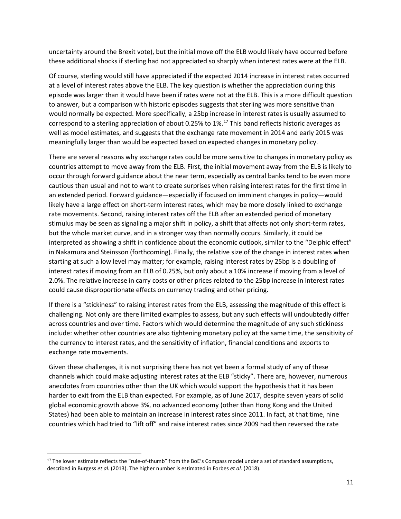uncertainty around the Brexit vote), but the initial move off the ELB would likely have occurred before these additional shocks if sterling had not appreciated so sharply when interest rates were at the ELB.

Of course, sterling would still have appreciated if the expected 2014 increase in interest rates occurred at a level of interest rates above the ELB. The key question is whether the appreciation during this episode was larger than it would have been if rates were not at the ELB. This is a more difficult question to answer, but a comparison with historic episodes suggests that sterling was more sensitive than would normally be expected. More specifically, a 25bp increase in interest rates is usually assumed to correspond to a sterling appreciation of about 0.25% to  $1\%$ .<sup>[17](#page-11-0)</sup> This band reflects historic averages as well as model estimates, and suggests that the exchange rate movement in 2014 and early 2015 was meaningfully larger than would be expected based on expected changes in monetary policy.

There are several reasons why exchange rates could be more sensitive to changes in monetary policy as countries attempt to move away from the ELB. First, the initial movement away from the ELB is likely to occur through forward guidance about the near term, especially as central banks tend to be even more cautious than usual and not to want to create surprises when raising interest rates for the first time in an extended period. Forward guidance—especially if focused on imminent changes in policy—would likely have a large effect on short-term interest rates, which may be more closely linked to exchange rate movements. Second, raising interest rates off the ELB after an extended period of monetary stimulus may be seen as signaling a major shift in policy, a shift that affects not only short-term rates, but the whole market curve, and in a stronger way than normally occurs. Similarly, it could be interpreted as showing a shift in confidence about the economic outlook, similar to the "Delphic effect" in Nakamura and Steinsson (forthcoming). Finally, the relative size of the change in interest rates when starting at such a low level may matter; for example, raising interest rates by 25bp is a doubling of interest rates if moving from an ELB of 0.25%, but only about a 10% increase if moving from a level of 2.0%. The relative increase in carry costs or other prices related to the 25bp increase in interest rates could cause disproportionate effects on currency trading and other pricing.

If there is a "stickiness" to raising interest rates from the ELB, assessing the magnitude of this effect is challenging. Not only are there limited examples to assess, but any such effects will undoubtedly differ across countries and over time. Factors which would determine the magnitude of any such stickiness include: whether other countries are also tightening monetary policy at the same time, the sensitivity of the currency to interest rates, and the sensitivity of inflation, financial conditions and exports to exchange rate movements.

Given these challenges, it is not surprising there has not yet been a formal study of any of these channels which could make adjusting interest rates at the ELB "sticky". There are, however, numerous anecdotes from countries other than the UK which would support the hypothesis that it has been harder to exit from the ELB than expected. For example, as of June 2017, despite seven years of solid global economic growth above 3%, no advanced economy (other than Hong Kong and the United States) had been able to maintain an increase in interest rates since 2011. In fact, at that time, nine countries which had tried to "lift off" and raise interest rates since 2009 had then reversed the rate

<span id="page-11-0"></span><sup>&</sup>lt;sup>17</sup> The lower estimate reflects the "rule-of-thumb" from the BoE's Compass model under a set of standard assumptions, described in Burgess *et al.* (2013). The higher number is estimated in Forbes *et al.* (2018).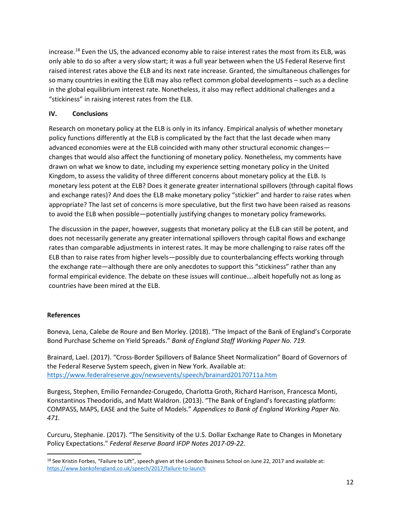increase. [18](#page-12-0) Even the US, the advanced economy able to raise interest rates the most from its ELB, was only able to do so after a very slow start; it was a full year between when the US Federal Reserve first raised interest rates above the ELB and its next rate increase. Granted, the simultaneous challenges for so many countries in exiting the ELB may also reflect common global developments – such as a decline in the global equilibrium interest rate. Nonetheless, it also may reflect additional challenges and a "stickiness" in raising interest rates from the ELB.

#### **IV. Conclusions**

Research on monetary policy at the ELB is only in its infancy. Empirical analysis of whether monetary policy functions differently at the ELB is complicated by the fact that the last decade when many advanced economies were at the ELB coincided with many other structural economic changes changes that would also affect the functioning of monetary policy. Nonetheless, my comments have drawn on what we know to date, including my experience setting monetary policy in the United Kingdom, to assess the validity of three different concerns about monetary policy at the ELB. Is monetary less potent at the ELB? Does it generate greater international spillovers (through capital flows and exchange rates)? And does the ELB make monetary policy "stickier" and harder to raise rates when appropriate? The last set of concerns is more speculative, but the first two have been raised as reasons to avoid the ELB when possible—potentially justifying changes to monetary policy frameworks.

The discussion in the paper, however, suggests that monetary policy at the ELB can still be potent, and does not necessarily generate any greater international spillovers through capital flows and exchange rates than comparable adjustments in interest rates. It may be more challenging to raise rates off the ELB than to raise rates from higher levels—possibly due to counterbalancing effects working through the exchange rate—although there are only anecdotes to support this "stickiness" rather than any formal empirical evidence. The debate on these issues will continue….albeit hopefully not as long as countries have been mired at the ELB.

## **References**

Boneva, Lena, Calebe de Roure and Ben Morley. (2018). "The Impact of the Bank of England's Corporate Bond Purchase Scheme on Yield Spreads." *Bank of England Staff Working Paper No. 719.* 

Brainard, Lael. (2017). "Cross-Border Spillovers of Balance Sheet Normalization" Board of Governors of the Federal Reserve System speech, given in New York. Available at: <https://www.federalreserve.gov/newsevents/speech/brainard20170711a.htm>

Burgess, Stephen, Emilio Fernandez-Corugedo, Charlotta Groth, Richard Harrison, Francesca Monti, Konstantinos Theodoridis, and Matt Waldron. (2013). "The Bank of England's forecasting platform: COMPASS, MAPS, EASE and the Suite of Models." *Appendices to Bank of England Working Paper No. 471.*

Curcuru, Stephanie. (2017). "The Sensitivity of the U.S. Dollar Exchange Rate to Changes in Monetary Policy Expectations." *Federal Reserve Board IFDP Notes 2017-09-22.*

<span id="page-12-0"></span><sup>&</sup>lt;sup>18</sup> See Kristin Forbes, "Failure to Lift", speech given at the London Business School on June 22, 2017 and available at: <https://www.bankofengland.co.uk/speech/2017/failure-to-launch>